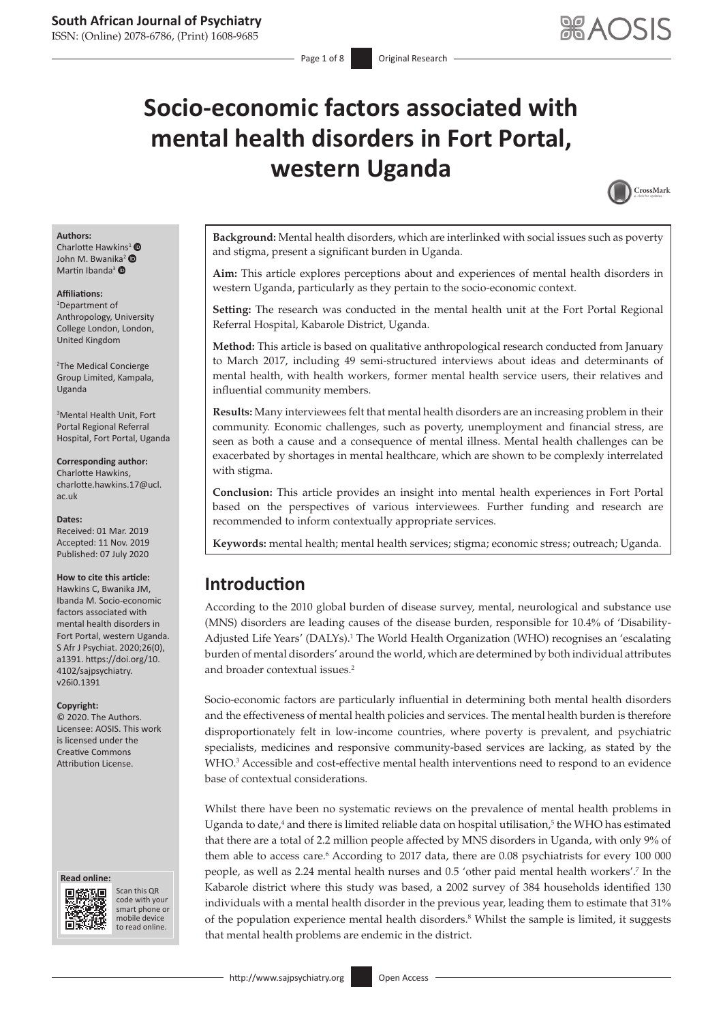# **Socio-economic factors associated with mental health disorders in Fort Portal, western Uganda**



#### **Authors:**

Charlotte Hawkin[s](https://orcid.org/0000-0002-6745-1274)<sup>[1](https://orcid.org/0000-0001-5581-152X)</sup><sup>®</sup> John M. Bwani[ka](http://orcid.org/0000-0002-8917-3877)<sup>2</sup> Martin Ibanda<sup>3</sup>  $\bullet$ 

#### **Affiliations:**

1 Department of Anthropology, University College London, London, United Kingdom

2 The Medical Concierge Group Limited, Kampala, Uganda

3 Mental Health Unit, Fort Portal Regional Referral Hospital, Fort Portal, Uganda

#### **Corresponding author:** Charlotte Hawkins,

[charlotte.hawkins.17@ucl.](mailto:charlotte.hawkins.17@ucl.ac.uk) [ac.uk](mailto:charlotte.hawkins.17@ucl.ac.uk)

#### **Dates:**

Received: 01 Mar. 2019 Accepted: 11 Nov. 2019 Published: 07 July 2020

#### **How to cite this article:**

Hawkins C, Bwanika JM, Ibanda M. Socio-economic factors associated with mental health disorders in Fort Portal, western Uganda. S Afr J Psychiat. 2020;26(0), a1391. [https://doi.org/10.](https://doi.org/10.4102/sajpsychiatry.v26i0.1391) [4102/sajpsychiatry.](https://doi.org/10.4102/sajpsychiatry.v26i0.1391) [v26i0.1391](https://doi.org/10.4102/sajpsychiatry.v26i0.1391)

#### **Copyright:**

© 2020. The Authors. Licensee: AOSIS. This work is licensed under the Creative Commons Attribution License.

#### **Read online: Read online:**



<span id="page-0-7"></span>Scan this QR code with your Scan this QR<br>code with your<br>smart phone or<br>mobile device mobile device to read online. to read online.

**Background:** Mental health disorders, which are interlinked with social issues such as poverty and stigma, present a significant burden in Uganda.

**Aim:** This article explores perceptions about and experiences of mental health disorders in western Uganda, particularly as they pertain to the socio-economic context.

**Setting:** The research was conducted in the mental health unit at the Fort Portal Regional Referral Hospital, Kabarole District, Uganda.

**Method:** This article is based on qualitative anthropological research conducted from January to March 2017, including 49 semi-structured interviews about ideas and determinants of mental health, with health workers, former mental health service users, their relatives and influential community members.

**Results:** Many interviewees felt that mental health disorders are an increasing problem in their community. Economic challenges, such as poverty, unemployment and financial stress, are seen as both a cause and a consequence of mental illness. Mental health challenges can be exacerbated by shortages in mental healthcare, which are shown to be complexly interrelated with stigma.

**Conclusion:** This article provides an insight into mental health experiences in Fort Portal based on the perspectives of various interviewees. Further funding and research are recommended to inform contextually appropriate services.

**Keywords:** mental health; mental health services; stigma; economic stress; outreach; Uganda.

# **Introduction**

<span id="page-0-0"></span>According to the 2010 global burden of disease survey, mental, neurological and substance use (MNS) disorders are leading causes of the disease burden, responsible for 10.4% of 'Disability-Adjusted Life Years' (DALYs).<sup>1</sup> The World Health Organization (WHO) recognises an 'escalating burden of mental disorders' around the world, which are determined by both individual attributes and broader contextual issues.<sup>2</sup>

<span id="page-0-1"></span>Socio-economic factors are particularly influential in determining both mental health disorders and the effectiveness of mental health policies and services. The mental health burden is therefore disproportionately felt in low-income countries, where poverty is prevalent, and psychiatric specialists, medicines and responsive community-based services are lacking, as stated by the WHO.<sup>[3](#page-6-2)</sup> Accessible and cost-effective mental health interventions need to respond to an evidence base of contextual considerations.

<span id="page-0-6"></span><span id="page-0-5"></span><span id="page-0-4"></span><span id="page-0-3"></span><span id="page-0-2"></span>Whilst there have been no systematic reviews on the prevalence of mental health problems in Uganda to date,<sup>[4](#page-6-3)</sup> and there is limited reliable data on hospital utilisation,<sup>[5](#page-6-4)</sup> the WHO has estimated that there are a total of 2.2 million people affected by MNS disorders in Uganda, with only 9% of them able to access care.<sup>6</sup> According to 2017 data, there are 0.08 psychiatrists for every 100 000 people, as well as 2.24 mental health nurses and 0.5 'other paid mental health workers'.[7](#page-6-6) In the Kabarole district where this study was based, a 2002 survey of 384 households identified 130 individuals with a mental health disorder in the previous year, leading them to estimate that 31% of the population experience mental health disorders.<sup>8</sup> Whilst the sample is limited, it suggests that mental health problems are endemic in the district.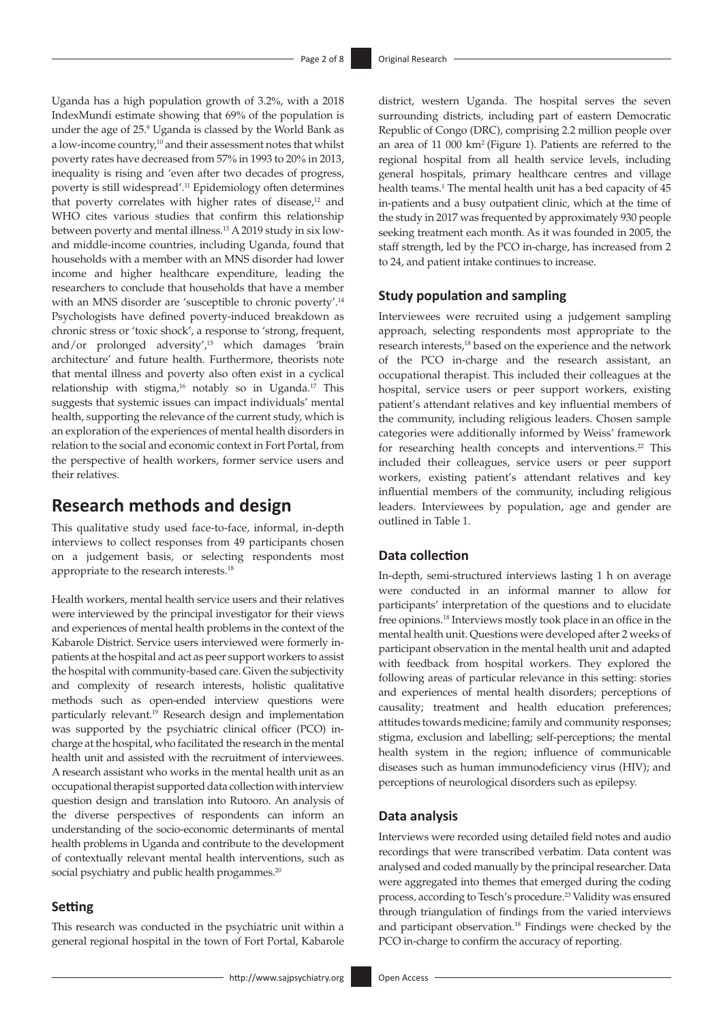<span id="page-1-5"></span><span id="page-1-4"></span><span id="page-1-3"></span><span id="page-1-2"></span><span id="page-1-1"></span><span id="page-1-0"></span>Uganda has a high population growth of 3.2%, with a 2018 IndexMundi estimate showing that 69% of the population is under the age of 25.<sup>[9](#page-6-8)</sup> Uganda is classed by the World Bank as a low-income country,<sup>10</sup> and their assessment notes that whilst poverty rates have decreased from 57% in 1993 to 20% in 2013, inequality is rising and 'even after two decades of progress, poverty is still widespread'.[11](#page-6-10) Epidemiology often determines that poverty correlates with higher rates of disease, $12$  and WHO cites various studies that confirm this relationship between poverty and mental illness.[13](#page-6-12) A 2019 study in six lowand middle-income countries, including Uganda, found that households with a member with an MNS disorder had lower income and higher healthcare expenditure, leading the researchers to conclude that households that have a member with an MNS disorder are 'susceptible to chronic poverty'[.14](#page-6-13) Psychologists have defined poverty-induced breakdown as chronic stress or 'toxic shock', a response to 'strong, frequent, and/or prolonged adversity'[,15](#page-6-14) which damages 'brain architecture' and future health. Furthermore, theorists note that mental illness and poverty also often exist in a cyclical relationship with stigma,<sup>16</sup> notably so in Uganda.<sup>17</sup> This suggests that systemic issues can impact individuals' mental health, supporting the relevance of the current study, which is an exploration of the experiences of mental health disorders in relation to the social and economic context in Fort Portal, from the perspective of health workers, former service users and their relatives.

# <span id="page-1-7"></span><span id="page-1-6"></span>**Research methods and design**

This qualitative study used face-to-face, informal, in-depth interviews to collect responses from 49 participants chosen on a judgement basis, or selecting respondents most appropriate to the research interests[.18](#page-7-0)

<span id="page-1-10"></span><span id="page-1-9"></span>Health workers, mental health service users and their relatives were interviewed by the principal investigator for their views and experiences of mental health problems in the context of the Kabarole District. Service users interviewed were formerly inpatients at the hospital and act as peer support workers to assist the hospital with community-based care. Given the subjectivity and complexity of research interests, holistic qualitative methods such as open-ended interview questions were particularly relevant[.19](#page-7-1) Research design and implementation was supported by the psychiatric clinical officer (PCO) incharge at the hospital, who facilitated the research in the mental health unit and assisted with the recruitment of interviewees. A research assistant who works in the mental health unit as an occupational therapist supported data collection with interview question design and translation into Rutooro. An analysis of the diverse perspectives of respondents can inform an understanding of the socio-economic determinants of mental health problems in Uganda and contribute to the development of contextually relevant mental health interventions, such as social psychiatry and public health progammes.<sup>[20](#page-7-2)</sup>

#### <span id="page-1-11"></span>**Setting**

This research was conducted in the psychiatric unit within a general regional hospital in the town of Fort Portal, Kabarole

district, western Uganda. The hospital serves the seven surrounding districts, including part of eastern Democratic Republic of Congo (DRC), comprising 2.2 million people over an area of 11 000 km[2](#page-6-1) (Figure 1). Patients are referred to the regional hospital from all health service levels, including general hospitals, primary healthcare centres and village health teams.<sup>[1](#page-6-0)</sup> The mental health unit has a bed capacity of 45 in-patients and a busy outpatient clinic, which at the time of the study in 2017 was frequented by approximately 930 people seeking treatment each month. As it was founded in 2005, the staff strength, led by the PCO in-charge, has increased from 2 to 24, and patient intake continues to increase.

#### **Study population and sampling**

<span id="page-1-8"></span>Interviewees were recruited using a judgement sampling approach, selecting respondents most appropriate to the research interests,<sup>18</sup> based on the experience and the network of the PCO in-charge and the research assistant, an occupational therapist. This included their colleagues at the hospital, service users or peer support workers, existing patient's attendant relatives and key influential members of the community, including religious leaders. Chosen sample categories were additionally informed by Weiss' framework for researching health concepts and interventions.<sup>22</sup> This included their colleagues, service users or peer support workers, existing patient's attendant relatives and key influential members of the community, including religious leaders. Interviewees by population, age and gender are outlined in Table 1.

### <span id="page-1-12"></span>**Data collection**

In-depth, semi-structured interviews lasting 1 h on average were conducted in an informal manner to allow for participants' interpretation of the questions and to elucidate free opinions.[18](#page-7-0) Interviews mostly took place in an office in the mental health unit. Questions were developed after 2 weeks of participant observation in the mental health unit and adapted with feedback from hospital workers. They explored the following areas of particular relevance in this setting: stories and experiences of mental health disorders; perceptions of causality; treatment and health education preferences; attitudes towards medicine; family and community responses; stigma, exclusion and labelling; self-perceptions; the mental health system in the region; influence of communicable diseases such as human immunodeficiency virus (HIV); and perceptions of neurological disorders such as epilepsy.

#### **Data analysis**

<span id="page-1-13"></span>Interviews were recorded using detailed field notes and audio recordings that were transcribed verbatim. Data content was analysed and coded manually by the principal researcher. Data were aggregated into themes that emerged during the coding process, according to Tesch's procedure[.23](#page-7-4) Validity was ensured through triangulation of findings from the varied interviews and participant observation.[18](#page-7-0) Findings were checked by the PCO in-charge to confirm the accuracy of reporting.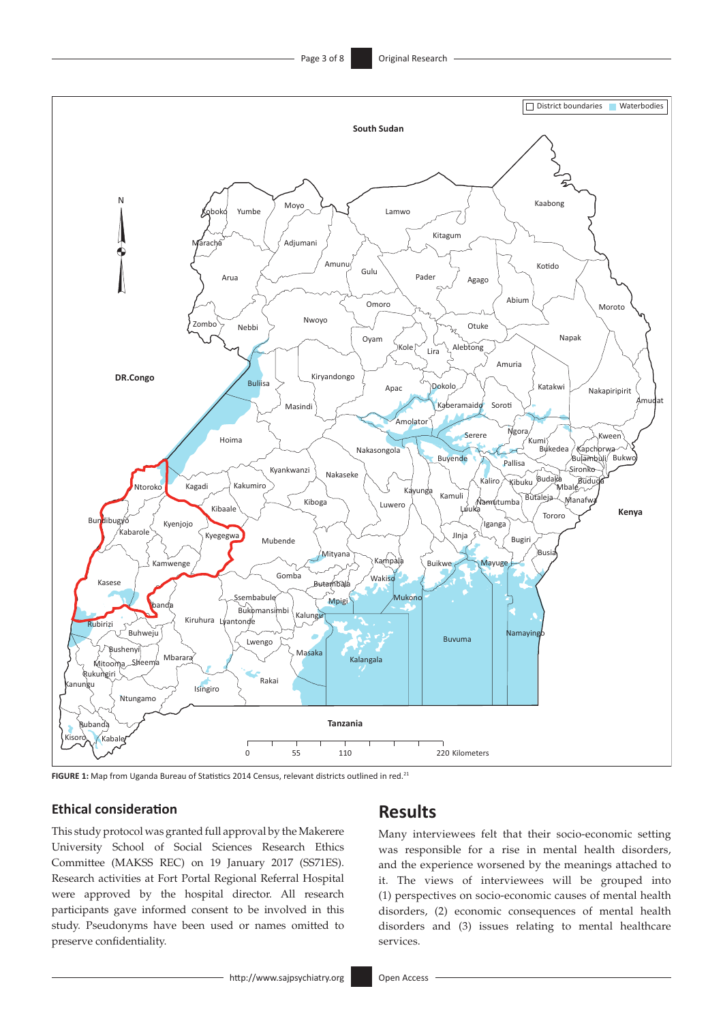

<span id="page-2-0"></span>**FIGURE 1:** Map from Uganda Bureau of Statistics 2014 Census, relevant districts outlined in red[.21](#page-7-5)

### **Ethical consideration**

This study protocol was granted full approval by the Makerere University School of Social Sciences Research Ethics Committee (MAKSS REC) on 19 January 2017 (SS71ES). Research activities at Fort Portal Regional Referral Hospital were approved by the hospital director. All research participants gave informed consent to be involved in this study. Pseudonyms have been used or names omitted to preserve confidentiality.

## **Results**

Many interviewees felt that their socio-economic setting was responsible for a rise in mental health disorders, and the experience worsened by the meanings attached to it. The views of interviewees will be grouped into (1) perspectives on socio-economic causes of mental health disorders, (2) economic consequences of mental health disorders and (3) issues relating to mental healthcare services.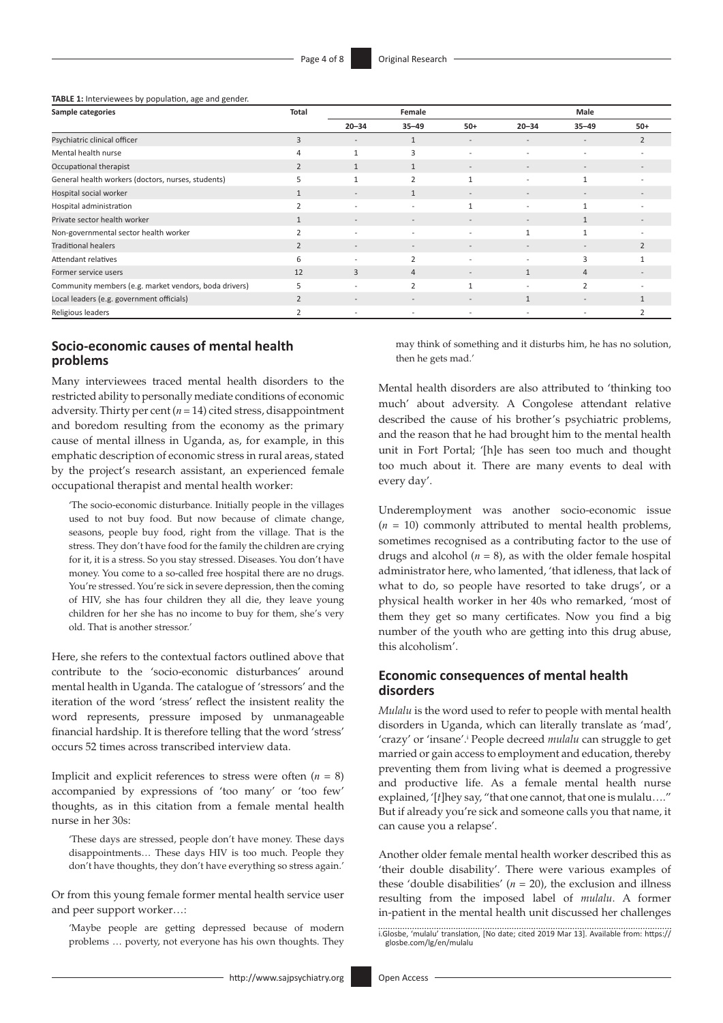#### **TABLE 1:** Interviewees by population, age and gender.

| Sample categories                                     | <b>Total</b>   | Female                   |                          |                          | Male                     |                          |                          |
|-------------------------------------------------------|----------------|--------------------------|--------------------------|--------------------------|--------------------------|--------------------------|--------------------------|
|                                                       |                | $20 - 34$                | $35 - 49$                | $50+$                    | $20 - 34$                | $35 - 49$                | $50+$                    |
| Psychiatric clinical officer                          | 3              | $\overline{\phantom{a}}$ |                          | $\overline{\phantom{a}}$ | $\overline{\phantom{0}}$ | $\overline{a}$           | $\overline{2}$           |
| Mental health nurse                                   | 4              | 1                        | 3                        | $\overline{\phantom{0}}$ | $\overline{\phantom{0}}$ | $\overline{\phantom{0}}$ |                          |
| Occupational therapist                                | $\overline{2}$ | $\mathbf{1}$             |                          |                          |                          |                          |                          |
| General health workers (doctors, nurses, students)    | 5.             | 1                        | 2                        | $\mathbf{1}$             | $\overline{\phantom{0}}$ |                          |                          |
| Hospital social worker                                |                | $\overline{\phantom{a}}$ | $\mathbf{1}$             | $\overline{\phantom{a}}$ | $\overline{\phantom{a}}$ | $\overline{\phantom{0}}$ |                          |
| Hospital administration                               |                | $\overline{\phantom{a}}$ | $\overline{\phantom{0}}$ | $\mathbf{1}$             | $\overline{\phantom{0}}$ |                          |                          |
| Private sector health worker                          |                |                          |                          |                          | $\overline{\phantom{a}}$ |                          |                          |
| Non-governmental sector health worker                 |                | $\overline{\phantom{a}}$ | $\overline{a}$           | $\overline{\phantom{a}}$ | $\overline{1}$           |                          |                          |
| <b>Traditional healers</b>                            | 2              | $\overline{\phantom{a}}$ | $\overline{\phantom{a}}$ | $\overline{\phantom{a}}$ | $\overline{\phantom{a}}$ | $\overline{\phantom{a}}$ | $\overline{2}$           |
| Attendant relatives                                   | 6              |                          | $\overline{2}$           |                          |                          | 3                        |                          |
| Former service users                                  | 12             | 3                        | $\overline{4}$           | $\overline{\phantom{a}}$ | $\mathbf{1}$             | $\overline{4}$           | $\overline{\phantom{0}}$ |
| Community members (e.g. market vendors, boda drivers) | 5              | $\overline{\phantom{a}}$ | $\overline{2}$           | $\mathbf{1}$             | $\overline{\phantom{0}}$ | $\overline{2}$           |                          |
| Local leaders (e.g. government officials)             |                | $\overline{\phantom{a}}$ | $\overline{a}$           | $\overline{\phantom{a}}$ | $\mathbf{1}$             | $\overline{a}$           |                          |
| Religious leaders                                     | 2              | $\overline{\phantom{a}}$ | $\overline{a}$           |                          |                          | ٠                        |                          |

### **Socio-economic causes of mental health problems**

Many interviewees traced mental health disorders to the restricted ability to personally mediate conditions of economic adversity. Thirty per cent (*n* = 14) cited stress, disappointment and boredom resulting from the economy as the primary cause of mental illness in Uganda, as, for example, in this emphatic description of economic stress in rural areas, stated by the project's research assistant, an experienced female occupational therapist and mental health worker:

'The socio-economic disturbance. Initially people in the villages used to not buy food. But now because of climate change, seasons, people buy food, right from the village. That is the stress. They don't have food for the family the children are crying for it, it is a stress. So you stay stressed. Diseases. You don't have money. You come to a so-called free hospital there are no drugs. You're stressed. You're sick in severe depression, then the coming of HIV, she has four children they all die, they leave young children for her she has no income to buy for them, she's very old. That is another stressor.'

Here, she refers to the contextual factors outlined above that contribute to the 'socio-economic disturbances' around mental health in Uganda. The catalogue of 'stressors' and the iteration of the word 'stress' reflect the insistent reality the word represents, pressure imposed by unmanageable financial hardship. It is therefore telling that the word 'stress' occurs 52 times across transcribed interview data.

Implicit and explicit references to stress were often  $(n = 8)$ accompanied by expressions of 'too many' or 'too few' thoughts, as in this citation from a female mental health nurse in her 30s:

'These days are stressed, people don't have money. These days disappointments… These days HIV is too much. People they don't have thoughts, they don't have everything so stress again.'

Or from this young female former mental health service user and peer support worker…:

'Maybe people are getting depressed because of modern problems … poverty, not everyone has his own thoughts. They

may think of something and it disturbs him, he has no solution, then he gets mad.'

Mental health disorders are also attributed to 'thinking too much' about adversity. A Congolese attendant relative described the cause of his brother's psychiatric problems, and the reason that he had brought him to the mental health unit in Fort Portal; '[h]e has seen too much and thought too much about it. There are many events to deal with every day'.

Underemployment was another socio-economic issue  $(n = 10)$  commonly attributed to mental health problems, sometimes recognised as a contributing factor to the use of drugs and alcohol  $(n = 8)$ , as with the older female hospital administrator here, who lamented, 'that idleness, that lack of what to do, so people have resorted to take drugs', or a physical health worker in her 40s who remarked, 'most of them they get so many certificates. Now you find a big number of the youth who are getting into this drug abuse, this alcoholism'.

### **Economic consequences of mental health disorders**

*Mulalu* is the word used to refer to people with mental health disorders in Uganda, which can literally translate as 'mad', 'crazy' or 'insane'.i People decreed *mulalu* can struggle to get married or gain access to employment and education, thereby preventing them from living what is deemed a progressive and productive life. As a female mental health nurse explained, '[*t*]hey say, "that one cannot, that one is mulalu…." But if already you're sick and someone calls you that name, it can cause you a relapse'.

Another older female mental health worker described this as 'their double disability'. There were various examples of these 'double disabilities'  $(n = 20)$ , the exclusion and illness resulting from the imposed label of *mulalu*. A former in-patient in the mental health unit discussed her challenges

i.Glosbe, 'mulalu' translation, [No date; cited 2019 Mar 13]. Available from: [https://](https://glosbe.com/lg/en/mulalu) [glosbe.com/lg/en/mulalu](https://glosbe.com/lg/en/mulalu)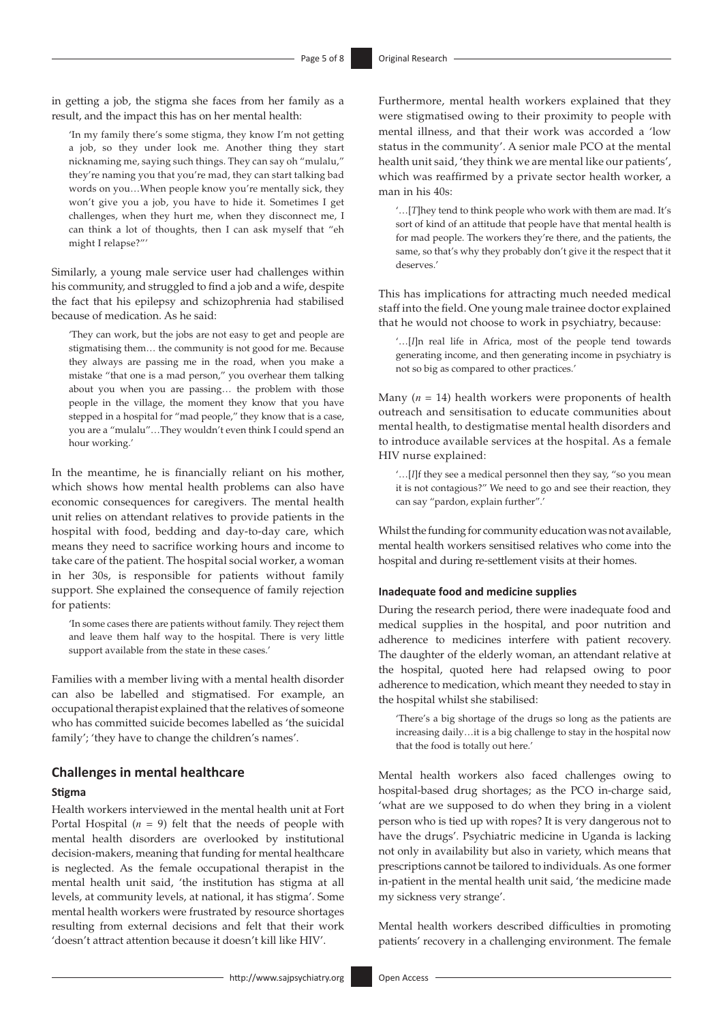in getting a job, the stigma she faces from her family as a result, and the impact this has on her mental health:

'In my family there's some stigma, they know I'm not getting a job, so they under look me. Another thing they start nicknaming me, saying such things. They can say oh "mulalu," they're naming you that you're mad, they can start talking bad words on you…When people know you're mentally sick, they won't give you a job, you have to hide it. Sometimes I get challenges, when they hurt me, when they disconnect me, I can think a lot of thoughts, then I can ask myself that "eh might I relapse?"'

Similarly, a young male service user had challenges within his community, and struggled to find a job and a wife, despite the fact that his epilepsy and schizophrenia had stabilised because of medication. As he said:

'They can work, but the jobs are not easy to get and people are stigmatising them… the community is not good for me. Because they always are passing me in the road, when you make a mistake "that one is a mad person," you overhear them talking about you when you are passing… the problem with those people in the village, the moment they know that you have stepped in a hospital for "mad people," they know that is a case, you are a "mulalu"…They wouldn't even think I could spend an hour working.'

In the meantime, he is financially reliant on his mother, which shows how mental health problems can also have economic consequences for caregivers. The mental health unit relies on attendant relatives to provide patients in the hospital with food, bedding and day-to-day care, which means they need to sacrifice working hours and income to take care of the patient. The hospital social worker, a woman in her 30s, is responsible for patients without family support. She explained the consequence of family rejection for patients:

'In some cases there are patients without family. They reject them and leave them half way to the hospital. There is very little support available from the state in these cases.'

Families with a member living with a mental health disorder can also be labelled and stigmatised. For example, an occupational therapist explained that the relatives of someone who has committed suicide becomes labelled as 'the suicidal family'; 'they have to change the children's names'.

#### **Challenges in mental healthcare**

#### **Stigma**

Health workers interviewed in the mental health unit at Fort Portal Hospital (*n* = 9) felt that the needs of people with mental health disorders are overlooked by institutional decision-makers, meaning that funding for mental healthcare is neglected. As the female occupational therapist in the mental health unit said, 'the institution has stigma at all levels, at community levels, at national, it has stigma'. Some mental health workers were frustrated by resource shortages resulting from external decisions and felt that their work 'doesn't attract attention because it doesn't kill like HIV'.

Furthermore, mental health workers explained that they were stigmatised owing to their proximity to people with mental illness, and that their work was accorded a 'low status in the community'. A senior male PCO at the mental health unit said, 'they think we are mental like our patients', which was reaffirmed by a private sector health worker, a man in his 40s:

'…[*T*]hey tend to think people who work with them are mad. It's sort of kind of an attitude that people have that mental health is for mad people. The workers they're there, and the patients, the same, so that's why they probably don't give it the respect that it deserves.'

This has implications for attracting much needed medical staff into the field. One young male trainee doctor explained that he would not choose to work in psychiatry, because:

'…[*I*]n real life in Africa, most of the people tend towards generating income, and then generating income in psychiatry is not so big as compared to other practices.'

Many  $(n = 14)$  health workers were proponents of health outreach and sensitisation to educate communities about mental health, to destigmatise mental health disorders and to introduce available services at the hospital. As a female HIV nurse explained:

'…[*I*]f they see a medical personnel then they say, "so you mean it is not contagious?" We need to go and see their reaction, they can say "pardon, explain further".'

Whilst the funding for community education was not available, mental health workers sensitised relatives who come into the hospital and during re-settlement visits at their homes.

#### **Inadequate food and medicine supplies**

During the research period, there were inadequate food and medical supplies in the hospital, and poor nutrition and adherence to medicines interfere with patient recovery. The daughter of the elderly woman, an attendant relative at the hospital, quoted here had relapsed owing to poor adherence to medication, which meant they needed to stay in the hospital whilst she stabilised:

'There's a big shortage of the drugs so long as the patients are increasing daily…it is a big challenge to stay in the hospital now that the food is totally out here.'

Mental health workers also faced challenges owing to hospital-based drug shortages; as the PCO in-charge said, 'what are we supposed to do when they bring in a violent person who is tied up with ropes? It is very dangerous not to have the drugs'. Psychiatric medicine in Uganda is lacking not only in availability but also in variety, which means that prescriptions cannot be tailored to individuals. As one former in-patient in the mental health unit said, 'the medicine made my sickness very strange'.

Mental health workers described difficulties in promoting patients' recovery in a challenging environment. The female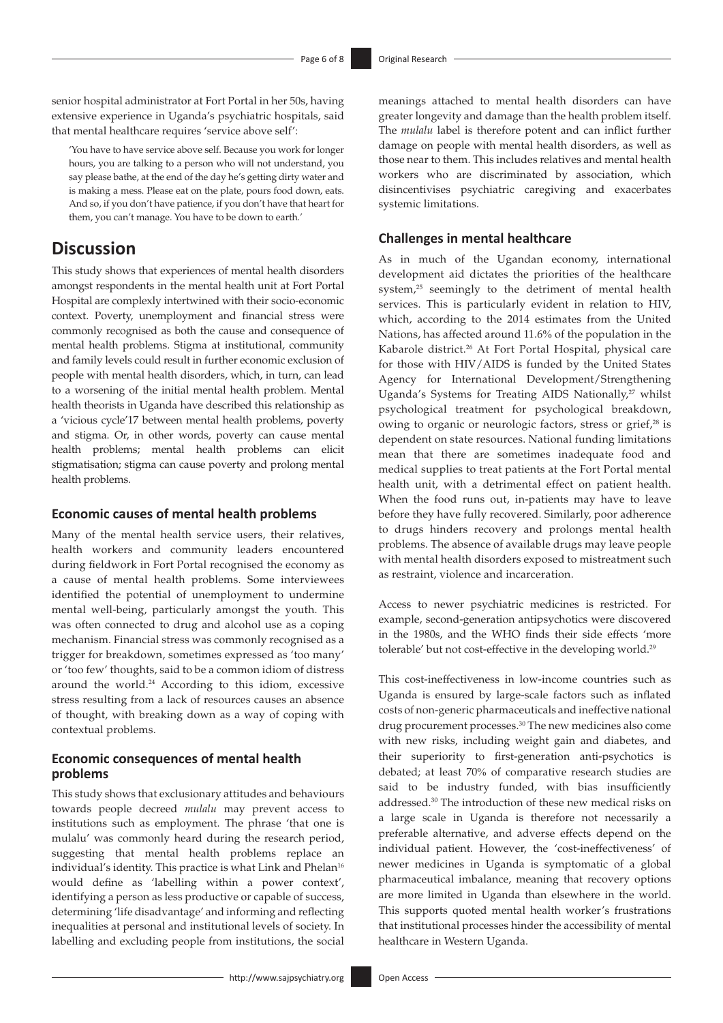senior hospital administrator at Fort Portal in her 50s, having extensive experience in Uganda's psychiatric hospitals, said that mental healthcare requires 'service above self':

'You have to have service above self. Because you work for longer hours, you are talking to a person who will not understand, you say please bathe, at the end of the day he's getting dirty water and is making a mess. Please eat on the plate, pours food down, eats. And so, if you don't have patience, if you don't have that heart for them, you can't manage. You have to be down to earth.'

# **Discussion**

This study shows that experiences of mental health disorders amongst respondents in the mental health unit at Fort Portal Hospital are complexly intertwined with their socio-economic context. Poverty, unemployment and financial stress were commonly recognised as both the cause and consequence of mental health problems. Stigma at institutional, community and family levels could result in further economic exclusion of people with mental health disorders, which, in turn, can lead to a worsening of the initial mental health problem. Mental health theorists in Uganda have described this relationship as a 'vicious cycle'17 between mental health problems, poverty and stigma. Or, in other words, poverty can cause mental health problems; mental health problems can elicit stigmatisation; stigma can cause poverty and prolong mental health problems.

### **Economic causes of mental health problems**

Many of the mental health service users, their relatives, health workers and community leaders encountered during fieldwork in Fort Portal recognised the economy as a cause of mental health problems. Some interviewees identified the potential of unemployment to undermine mental well-being, particularly amongst the youth. This was often connected to drug and alcohol use as a coping mechanism. Financial stress was commonly recognised as a trigger for breakdown, sometimes expressed as 'too many' or 'too few' thoughts, said to be a common idiom of distress around the world.<sup>24</sup> According to this idiom, excessive stress resulting from a lack of resources causes an absence of thought, with breaking down as a way of coping with contextual problems.

### <span id="page-5-0"></span>**Economic consequences of mental health problems**

This study shows that exclusionary attitudes and behaviours towards people decreed *mulalu* may prevent access to institutions such as employment. The phrase 'that one is mulalu' was commonly heard during the research period, suggesting that mental health problems replace an individual's identity. This practice is what Link and Phelan<sup>16</sup> would define as 'labelling within a power context', identifying a person as less productive or capable of success, determining 'life disadvantage' and informing and reflecting inequalities at personal and institutional levels of society. In labelling and excluding people from institutions, the social meanings attached to mental health disorders can have greater longevity and damage than the health problem itself. The *mulalu* label is therefore potent and can inflict further damage on people with mental health disorders, as well as those near to them. This includes relatives and mental health workers who are discriminated by association, which disincentivises psychiatric caregiving and exacerbates systemic limitations.

#### **Challenges in mental healthcare**

<span id="page-5-4"></span><span id="page-5-3"></span><span id="page-5-2"></span><span id="page-5-1"></span>As in much of the Ugandan economy, international development aid dictates the priorities of the healthcare system,[25](#page-7-7) seemingly to the detriment of mental health services. This is particularly evident in relation to HIV, which, according to the 2014 estimates from the United Nations, has affected around 11.6% of the population in the Kabarole district.[26](#page-7-8) At Fort Portal Hospital, physical care for those with HIV/AIDS is funded by the United States Agency for International Development/Strengthening Uganda's Systems for Treating AIDS Nationally,<sup>[27](#page-7-9)</sup> whilst psychological treatment for psychological breakdown, owing to organic or neurologic factors, stress or grief,<sup>[28](#page-7-10)</sup> is dependent on state resources. National funding limitations mean that there are sometimes inadequate food and medical supplies to treat patients at the Fort Portal mental health unit, with a detrimental effect on patient health. When the food runs out, in-patients may have to leave before they have fully recovered. Similarly, poor adherence to drugs hinders recovery and prolongs mental health problems. The absence of available drugs may leave people with mental health disorders exposed to mistreatment such as restraint, violence and incarceration.

Access to newer psychiatric medicines is restricted. For example, second-generation antipsychotics were discovered in the 1980s, and the WHO finds their side effects 'more tolerable' but not cost-effective in the developing world.[29](#page-7-11)

<span id="page-5-6"></span><span id="page-5-5"></span>This cost-ineffectiveness in low-income countries such as Uganda is ensured by large-scale factors such as inflated costs of non-generic pharmaceuticals and ineffective national drug procurement processes[.30](#page-7-12) The new medicines also come with new risks, including weight gain and diabetes, and their superiority to first-generation anti-psychotics is debated; at least 70% of comparative research studies are said to be industry funded, with bias insufficiently addressed[.30](#page-7-12) The introduction of these new medical risks on a large scale in Uganda is therefore not necessarily a preferable alternative, and adverse effects depend on the individual patient. However, the 'cost-ineffectiveness' of newer medicines in Uganda is symptomatic of a global pharmaceutical imbalance, meaning that recovery options are more limited in Uganda than elsewhere in the world. This supports quoted mental health worker's frustrations that institutional processes hinder the accessibility of mental healthcare in Western Uganda.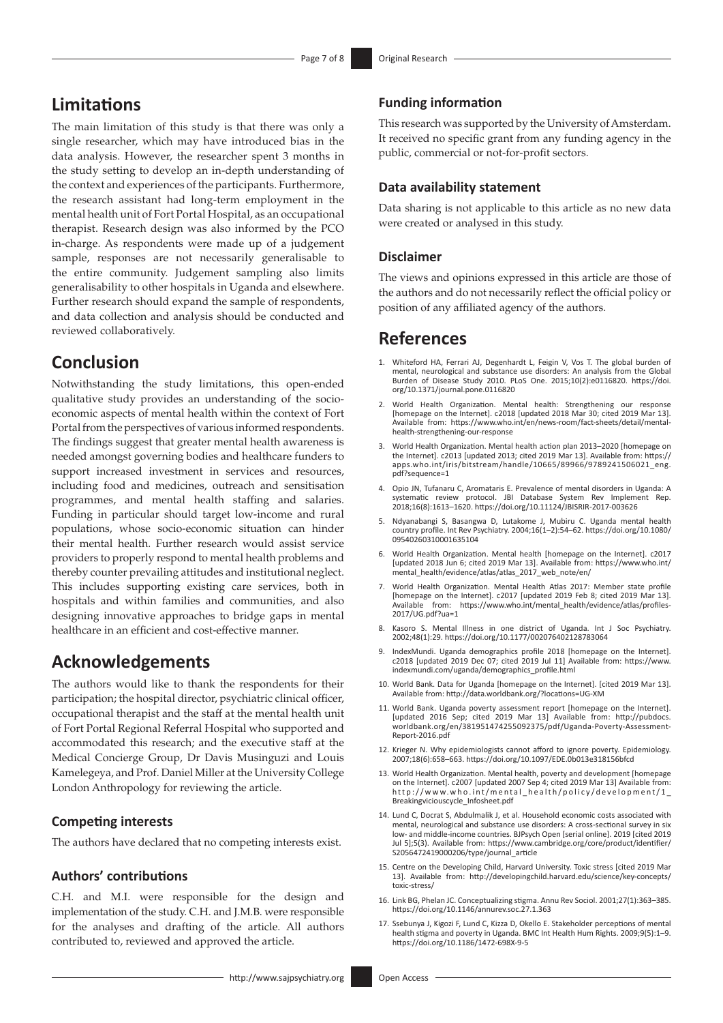# **Limitations**

The main limitation of this study is that there was only a single researcher, which may have introduced bias in the data analysis. However, the researcher spent 3 months in the study setting to develop an in-depth understanding of the context and experiences of the participants. Furthermore, the research assistant had long-term employment in the mental health unit of Fort Portal Hospital, as an occupational therapist. Research design was also informed by the PCO in-charge. As respondents were made up of a judgement sample, responses are not necessarily generalisable to the entire community. Judgement sampling also limits generalisability to other hospitals in Uganda and elsewhere. Further research should expand the sample of respondents, and data collection and analysis should be conducted and reviewed collaboratively.

# **Conclusion**

Notwithstanding the study limitations, this open-ended qualitative study provides an understanding of the socioeconomic aspects of mental health within the context of Fort Portal from the perspectives of various informed respondents. The findings suggest that greater mental health awareness is needed amongst governing bodies and healthcare funders to support increased investment in services and resources, including food and medicines, outreach and sensitisation programmes, and mental health staffing and salaries. Funding in particular should target low-income and rural populations, whose socio-economic situation can hinder their mental health. Further research would assist service providers to properly respond to mental health problems and thereby counter prevailing attitudes and institutional neglect. This includes supporting existing care services, both in hospitals and within families and communities, and also designing innovative approaches to bridge gaps in mental healthcare in an efficient and cost-effective manner.

# **Acknowledgements**

The authors would like to thank the respondents for their participation; the hospital director, psychiatric clinical officer, occupational therapist and the staff at the mental health unit of Fort Portal Regional Referral Hospital who supported and accommodated this research; and the executive staff at the Medical Concierge Group, Dr Davis Musinguzi and Louis Kamelegeya, and Prof. Daniel Miller at the University College London Anthropology for reviewing the article.

#### **Competing interests**

The authors have declared that no competing interests exist.

### **Authors' contributions**

C.H. and M.I. were responsible for the design and implementation of the study. C.H. and J.M.B. were responsible for the analyses and drafting of the article. All authors contributed to, reviewed and approved the article.

#### **Funding information**

This research was supported by the University of Amsterdam. It received no specific grant from any funding agency in the public, commercial or not-for-profit sectors.

### **Data availability statement**

Data sharing is not applicable to this article as no new data were created or analysed in this study.

#### **Disclaimer**

The views and opinions expressed in this article are those of the authors and do not necessarily reflect the official policy or position of any affiliated agency of the authors.

## **References**

- <span id="page-6-0"></span>[1.](#page-0-0) Whiteford HA, Ferrari AJ, Degenhardt L, Feigin V, Vos T. The global burden of mental, neurological and substance use disorders: An analysis from the Global Burden of Disease Study 2010. PLoS One. 2015;10(2):e0116820. [https://doi.](https://doi.org/10.1371/journal.pone.0116820) [org/10.1371/journal.pone.0116820](https://doi.org/10.1371/journal.pone.0116820)
- <span id="page-6-1"></span>[2.](#page-0-1) World Health Organization. Mental health: Strengthening our response [homepage on the Internet]. c2018 [updated 2018 Mar 30; cited 2019 Mar 13]. Available from: [https://www.who.int/en/news-room/fact-sheets/detail/mental](https://www.who.int/en/news-room/fact-sheets/detail/mental-health-strengthening-our-response)[health-strengthening-our-response](https://www.who.int/en/news-room/fact-sheets/detail/mental-health-strengthening-our-response)
- <span id="page-6-2"></span>[3.](#page-0-2) World Health Organization. Mental health action plan 2013–2020 [homepage on the Internet]. c2013 [updated 2013; cited 2019 Mar 13]. Available from: [https://](https://apps.who.int/iris/bitstream/handle/10665/89966/9789241506021_eng.pdf?sequence=1) [apps.who.int/iris/bitstream/handle/10665/89966/9789241506021\\_eng.](https://apps.who.int/iris/bitstream/handle/10665/89966/9789241506021_eng.pdf?sequence=1) [pdf?sequence=1](https://apps.who.int/iris/bitstream/handle/10665/89966/9789241506021_eng.pdf?sequence=1)
- <span id="page-6-3"></span>[4.](#page-0-3) Opio JN, Tufanaru C, Aromataris E. Prevalence of mental disorders in Uganda: A systematic review protocol. JBI Database System Rev Implement Rep. 2018;16(8):1613–1620.<https://doi.org/10.11124/JBISRIR-2017-003626>
- <span id="page-6-4"></span>[5.](#page-0-4) Ndyanabangi S, Basangwa D, Lutakome J, Mubiru C. Uganda mental health country profile. Int Rev Psychiatry. 2004;16(1–2):54–62. [https://doi.org/10.1080/](https://doi.org/10.1080/09540260310001635104) [09540260310001635104](https://doi.org/10.1080/09540260310001635104)
- <span id="page-6-5"></span>[6.](#page-0-5) World Health Organization. Mental health [homepage on the Internet]. c2017 [updated 2018 Jun 6; cited 2019 Mar 13]. Available from: [https://www.who.int/](https://www.who.int/mental_health/evidence/atlas/atlas_2017_web_note/en/) [mental\\_health/evidence/atlas/atlas\\_2017\\_web\\_note/en/](https://www.who.int/mental_health/evidence/atlas/atlas_2017_web_note/en/)
- <span id="page-6-6"></span>[7.](#page-0-6) World Health Organization. Mental Health Atlas 2017: Member state profile [homepage on the Internet]. c2017 [updated 2019 Feb 8; cited 2019 Mar 13]. Available from: [https://www.who.int/mental\\_health/evidence/atlas/profiles-](https://www.who.int/mental_health/evidence/atlas/profiles-2017/UG.pdf?ua=1)[2017/UG.pdf?ua=1](https://www.who.int/mental_health/evidence/atlas/profiles-2017/UG.pdf?ua=1)
- <span id="page-6-7"></span>[8.](#page-0-7) Kasoro S. Mental Illness in one district of Uganda. Int J Soc Psychiatry. 2002;48(1):29.<https://doi.org/10.1177/002076402128783064>
- <span id="page-6-8"></span>[9.](#page-1-0) IndexMundi. Uganda demographics profile 2018 [homepage on the Internet]. c2018 [updated 2019 Dec 07; cited 2019 Jul 11] Available from: [https://www.](https://www.indexmundi.com/uganda/demographics_profile.html) [indexmundi.com/uganda/demographics\\_profile.html](https://www.indexmundi.com/uganda/demographics_profile.html)
- <span id="page-6-9"></span>[10.](#page-1-1) World Bank. Data for Uganda [homepage on the Internet]. [cited 2019 Mar 13]. Available from: <http://data.worldbank.org/?locations=UG-XM>
- <span id="page-6-10"></span>[11.](#page-1-2) World Bank. Uganda poverty assessment report [homepage on the Internet]. [updated 2016 Sep; cited 2019 Mar 13] Available from: [http://pubdocs.](http://pubdocs.worldbank.org/en/381951474255092375/pdf/Uganda-Poverty-Assessment-Report-2016.pdf) [worldbank.org/en/381951474255092375/pdf/Uganda-Poverty-Assessment-](http://pubdocs.worldbank.org/en/381951474255092375/pdf/Uganda-Poverty-Assessment-Report-2016.pdf)[Report-2016.pdf](http://pubdocs.worldbank.org/en/381951474255092375/pdf/Uganda-Poverty-Assessment-Report-2016.pdf)
- <span id="page-6-11"></span>[12.](#page-1-3) Krieger N. Why epidemiologists cannot afford to ignore poverty. Epidemiology. 2007;18(6):658–663.<https://doi.org/10.1097/EDE.0b013e318156bfcd>
- <span id="page-6-12"></span>[13.](#page-1-4) World Health Organization. Mental health, poverty and development [homepage on the Internet]. c2007 [updated 2007 Sep 4; cited 2019 Mar 13] Available from: [http://www.who.int/mental\\_health/policy/development/1\\_](http://www.who.int/mental_health/policy/development/1_Breakingviciouscycle_Infosheet.pdf) [Breakingviciouscycle\\_Infosheet.pdf](http://www.who.int/mental_health/policy/development/1_Breakingviciouscycle_Infosheet.pdf)
- <span id="page-6-13"></span>[14.](#page-1-5) Lund C, Docrat S, Abdulmalik J, et al. Household economic costs associated with mental, neurological and substance use disorders: A cross-sectional survey in six low- and middle-income countries. BJPsych Open [serial online]. 2019 [cited 2019 Jul 5];5(3). Available from: [https://www.cambridge.org/core/product/identifier/](https://www.cambridge.org/core/product/identifier/S2056472419000206/type/journal_article) [S2056472419000206/type/journal\\_article](https://www.cambridge.org/core/product/identifier/S2056472419000206/type/journal_article)
- <span id="page-6-14"></span>[15.](#page-1-6) Centre on the Developing Child, Harvard University. Toxic stress [cited 2019 Mar 13]. Available from: [http://developingchild.harvard.edu/science/key-concepts/](http://developingchild.harvard.edu/science/key-concepts/toxic-stress/) [toxic-stress/](http://developingchild.harvard.edu/science/key-concepts/toxic-stress/)
- <span id="page-6-15"></span>[16.](#page-1-7) Link BG, Phelan JC. Conceptualizing stigma. Annu Rev Sociol. 2001;27(1):363–385. <https://doi.org/10.1146/annurev.soc.27.1.363>
- <span id="page-6-16"></span>[17.](#page-1-8) Ssebunya J, Kigozi F, Lund C, Kizza D, Okello E. Stakeholder perceptions of mental health stigma and poverty in Uganda. BMC Int Health Hum Rights. 2009;9(5):1–9. <https://doi.org/10.1186/1472-698X-9-5>